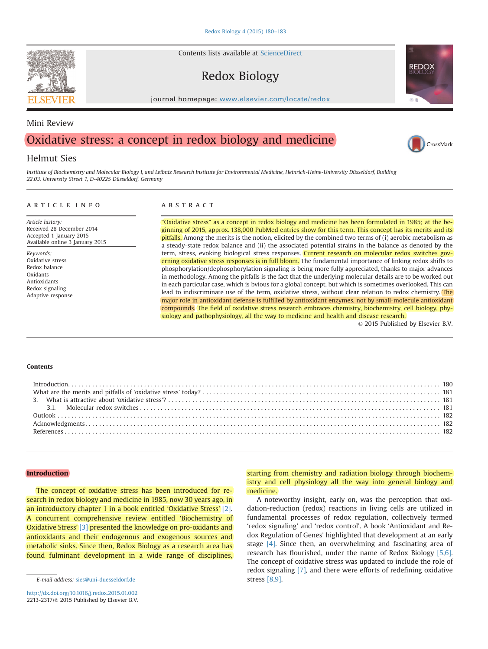Contents lists available at [ScienceDirect](www.sciencedirect.com/science/journal/22132317)

# Redox Biology

journal homepage: <www.elsevier.com/locate/redox>

# Mini Review

# Oxidative stress: a concept in redox biology and medicine

# Helmut Sies

Institute of Biochemistry and Molecular Biology I, and Leibniz Research Institute for Environmental Medicine, Heinrich-Heine-University Düsseldorf, Building 22.03, University Street 1, D-40225 Düsseldorf, Germany

#### article info

Article history: Received 28 December 2014 Accepted 1 January 2015 Available online 3 January 2015

Keywords: Oxidative stress Redox balance Oxidants Antioxidants Redox signaling Adaptive response

## **ABSTRACT**

"Oxidative stress" as a concept in redox biology and medicine has been formulated in 1985; at the beginning of 2015, approx. 138,000 PubMed entries show for this term. This concept has its merits and its pitfalls. Among the merits is the notion, elicited by the combined two terms of (i) aerobic metabolism as a steady-state redox balance and (ii) the associated potential strains in the balance as denoted by the term, stress, evoking biological stress responses. Current research on molecular redox switches governing oxidative stress responses is in full bloom. The fundamental importance of linking redox shifts to phosphorylation/dephosphorylation signaling is being more fully appreciated, thanks to major advances in methodology. Among the pitfalls is the fact that the underlying molecular details are to be worked out in each particular case, which is bvious for a global concept, but which is sometimes overlooked. This can lead to indiscriminate use of the term, oxidative stress, without clear relation to redox chemistry. The major role in antioxidant defense is fulfilled by antioxidant enzymes, not by small-molecule antioxidant compounds. The field of oxidative stress research embraces chemistry, biochemistry, cell biology, physiology and pathophysiology, all the way to medicine and health and disease research.

 $\odot$  2015 Published by Elsevier B.V.

### Contents

| Introduction. 180 |  |  |
|-------------------|--|--|
|                   |  |  |
|                   |  |  |
|                   |  |  |
|                   |  |  |
|                   |  |  |
|                   |  |  |
|                   |  |  |

#### Introduction

The concept of oxidative stress has been introduced for research in redox biology and medicine in 1985, now 30 years ago, in an introductory chapter 1 in a book entitled 'Oxidative Stress' [\[2\].](#page-2-0) A concurrent comprehensive review entitled 'Biochemistry of Oxidative Stress' [\[3\]](#page-2-0) presented the knowledge on pro-oxidants and antioxidants and their endogenous and exogenous sources and metabolic sinks. Since then, Redox Biology as a research area has found fulminant development in a wide range of disciplines,

starting from chemistry and radiation biology through biochemistry and cell physiology all the way into general biology and medicine.

A noteworthy insight, early on, was the perception that oxidation-reduction (redox) reactions in living cells are utilized in fundamental processes of redox regulation, collectively termed 'redox signaling' and 'redox control'. A book 'Antioxidant and Redox Regulation of Genes' highlighted that development at an early stage [\[4\]](#page-2-0). Since then, an overwhelming and fascinating area of research has flourished, under the name of Redox Biology [\[5,6\].](#page-2-0) The concept of oxidative stress was updated to include the role of redox signaling [\[7\]](#page-2-0), and there were efforts of redefining oxidative stress [\[8,9\]](#page-2-0).





CrossMark

E-mail address: [sies@uni-duesseldorf.de](mailto:sies@uni-duesseldorf.de)

<http://dx.doi.org/10.1016/j.redox.2015.01.002> 2213-2317/& 2015 Published by Elsevier B.V.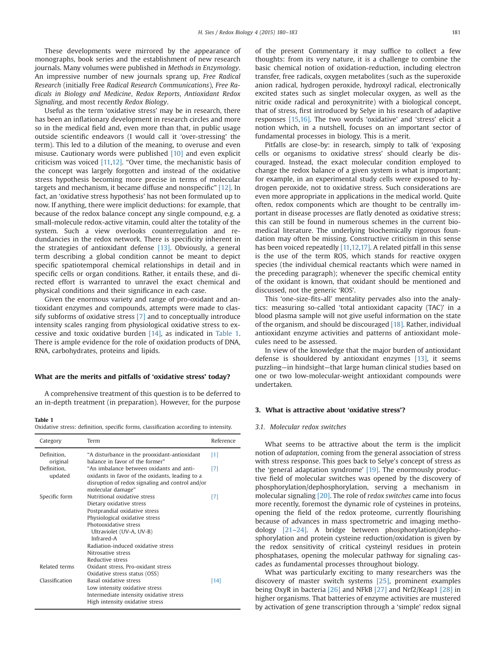These developments were mirrored by the appearance of monographs, book series and the establishment of new research journals. Many volumes were published in Methods in Enzymology. An impressive number of new journals sprang up, Free Radical Research (initially Free Radical Research Communications), Free Radicals in Biology and Medicine, Redox Reports, Antioxidant Redox Signaling, and most recently Redox Biology.

Useful as the term 'oxidative stress' may be in research, there has been an inflationary development in research circles and more so in the medical field and, even more than that, in public usage outside scientific endeavors (I would call it 'over-stressing' the term). This led to a dilution of the meaning, to overuse and even misuse. Cautionary words were published [\[10\]](#page-2-0) and even explicit criticism was voiced [\[11,12\].](#page-2-0) "Over time, the mechanistic basis of the concept was largely forgotten and instead of the oxidative stress hypothesis becoming more precise in terms of molecular targets and mechanism, it became diffuse and nonspecific" [\[12\].](#page-2-0) In fact, an 'oxidative stress hypothesis' has not been formulated up to now. If anything, there were implicit deductions: for example, that because of the redox balance concept any single compound, e.g. a small-molecule redox-active vitamin, could alter the totality of the system. Such a view overlooks counterregulation and redundancies in the redox network. There is specificity inherent in the strategies of antioxidant defense [\[13\].](#page-2-0) Obviously, a general term describing a global condition cannot be meant to depict specific spatiotemporal chemical relationships in detail and in specific cells or organ conditions. Rather, it entails these, and directed effort is warranted to unravel the exact chemical and physical conditions and their significance in each case.

Given the enormous variety and range of pro-oxidant and antioxidant enzymes and compounds, attempts were made to classify subforms of oxidative stress [\[7\]](#page-2-0) and to conceptually introduce intensity scales ranging from physiological oxidative stress to excessive and toxic oxidative burden [\[14\],](#page-2-0) as indicated in Table 1. There is ample evidence for the role of oxidation products of DNA, RNA, carbohydrates, proteins and lipids.

### What are the merits and pitfalls of 'oxidative stress' today?

A comprehensive treatment of this question is to be deferred to an in-depth treatment (in preparation). However, for the purpose

#### Table 1

Oxidative stress: definition, specific forms, classification according to intensity.

| Category                | Term                                                                                                                                                                                           | Reference         |
|-------------------------|------------------------------------------------------------------------------------------------------------------------------------------------------------------------------------------------|-------------------|
| Definition.<br>original | "A disturbance in the prooxidant-antioxidant<br>balance in favor of the former"                                                                                                                | $\lceil 1 \rceil$ |
| Definition,<br>updated  | "An imbalance between oxidants and anti-<br>oxidants in favor of the oxidants, leading to a<br>disruption of redox signaling and control and/or<br>molecular damage"                           | [7]               |
| Specific form           | Nutritional oxidative stress<br>Dietary oxidative stress<br>Postprandial oxidative stress<br>Physiological oxidative stress<br>Photooxidative stress<br>Ultraviolet (UV-A, UV-B)<br>Infrared-A | [7]               |
|                         | Radiation-induced oxidative stress<br>Nitrosative stress<br>Reductive stress                                                                                                                   |                   |
| Related terms           | Oxidant stress, Pro-oxidant stress<br>Oxidative stress status (OSS)                                                                                                                            |                   |
| Classification          | Basal oxidative stress<br>Low intensity oxidative stress<br>Intermediate intensity oxidative stress<br>High intensity oxidative stress                                                         | $[14]$            |

of the present Commentary it may suffice to collect a few thoughts: from its very nature, it is a challenge to combine the basic chemical notion of oxidation-reduction, including electron transfer, free radicals, oxygen metabolites (such as the superoxide anion radical, hydrogen peroxide, hydroxyl radical, electronically excited states such as singlet molecular oxygen, as well as the nitric oxide radical and peroxynitrite) with a biological concept, that of stress, first introduced by Selye in his research of adaptive responses [\[15,16\]](#page-2-0). The two words 'oxidative' and 'stress' elicit a notion which, in a nutshell, focuses on an important sector of fundamental processes in biology. This is a merit.

Pitfalls are close-by: in research, simply to talk of 'exposing cells or organisms to oxidative stress' should clearly be discouraged. Instead, the exact molecular condition employed to change the redox balance of a given system is what is important; for example, in an experimental study cells were exposed to hydrogen peroxide, not to oxidative stress. Such considerations are even more appropriate in applications in the medical world. Quite often, redox components which are thought to be centrally important in disease processes are flatly denoted as oxidative stress; this can still be found in numerous schemes in the current biomedical literature. The underlying biochemically rigorous foundation may often be missing. Constructive criticism in this sense has been voiced repeatedly [\[11,12,17\].](#page-2-0) A related pitfall in this sense is the use of the term ROS, which stands for reactive oxygen species (the individual chemical reactants which were named in the preceding paragraph); whenever the specific chemical entity of the oxidant is known, that oxidant should be mentioned and discussed, not the generic 'ROS'.

This 'one-size-fits-all' mentality pervades also into the analytics: measuring so-called 'total antioxidant capacity (TAC)' in a blood plasma sample will not give useful information on the state of the organism, and should be discouraged [\[18\].](#page-2-0) Rather, individual antioxidant enzyme activities and patterns of antioxidant molecules need to be assessed.

In view of the knowledge that the major burden of antioxidant defense is shouldered by antioxidant enzymes [\[13\]](#page-2-0), it seems puzzling—in hindsight—that large human clinical studies based on one or two low-molecular-weight antioxidant compounds were undertaken.

## 3. What is attractive about 'oxidative stress'?

#### 3.1. Molecular redox switches

What seems to be attractive about the term is the implicit notion of adaptation, coming from the general association of stress with stress response. This goes back to Selye's concept of stress as the 'general adaptation syndrome' [\[19\]](#page-2-0). The enormously productive field of molecular switches was opened by the discovery of phosphorylation/dephosphorylation, serving a mechanism in molecular signaling [\[20\].](#page-2-0) The role of redox switches came into focus more recently, foremost the dynamic role of cysteines in proteins, opening the field of the redox proteome, currently flourishing because of advances in mass spectrometric and imaging methodology [\[21](#page-2-0)–[24\]](#page-2-0). A bridge between phosphorylation/dephosphorylation and protein cysteine reduction/oxidation is given by the redox sensitivity of critical cysteinyl residues in protein phosphatases, opening the molecular pathway for signaling cascades as fundamental processes throughout biology.

What was particularly exciting to many researchers was the discovery of master switch systems [\[25\]](#page-2-0), prominent examples being OxyR in bacteria [\[26\]](#page-2-0) and NFkB [\[27\]](#page-2-0) and Nrf2/Keap1 [\[28\]](#page-2-0) in higher organisms. That batteries of enzyme activities are mustered by activation of gene transcription through a 'simple' redox signal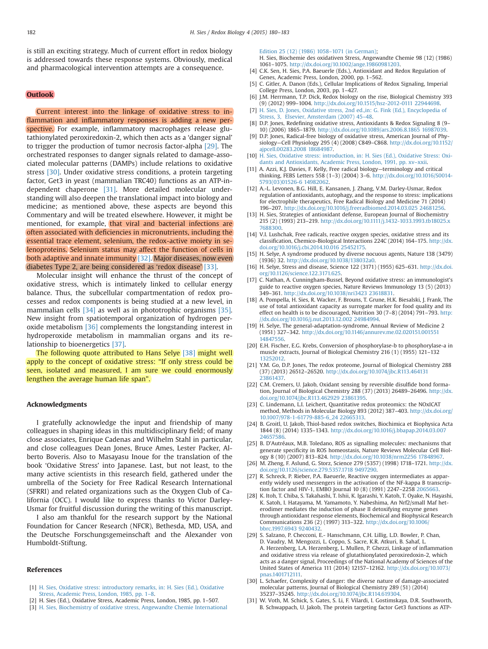<span id="page-2-0"></span>is still an exciting strategy. Much of current effort in redox biology is addressed towards these response systems. Obviously, medical and pharmacological intervention attempts are a consequence.

#### **Outlook**

Current interest into the linkage of oxidative stress to inflammation and inflammatory responses is adding a new perspective. For example, inflammatory macrophages release glutathionylated peroxiredoxin-2, which then acts as a 'danger signal' to trigger the production of tumor necrosis factor-alpha [29]. The orchestrated responses to danger signals related to damage-associated molecular patterns (DAMPs) include relations to oxidative stress [30]. Under oxidative stress conditions, a protein targeting factor, Get3 in yeast (mammalian TRC40) functions as an ATP-independent chaperone [31]. More detailed molecular understanding will also deepen the translational impact into biology and medicine; as mentioned above, these aspects are beyond this Commentary and will be treated elsewhere. However, it might be mentioned, for example, that viral and bacterial infections are often associated with deficiencies in micronutrients, including the essential trace element, selenium, the redox-active moiety in selenoproteins. Selenium status may affect the function of cells in both adaptive and innate immunity [\[32\].](#page-3-0) Major diseases, now even diabetes Type 2, are being considered as 'redox disease' [\[33\]](#page-3-0).

Molecular insight will enhance the thrust of the concept of oxidative stress, which is intimately linked to cellular energy balance. Thus, the subcellular compartmentation of redox processes and redox components is being studied at a new level, in mammalian cells [\[34\]](#page-3-0) as well as in phototrophic organisms [\[35\].](#page-3-0) New insight from spatiotemporal organization of hydrogen peroxide metabolism [\[36\]](#page-3-0) complements the longstanding interest in hydroperoxide metabolism in mammalian organs and its relationship to bioenergetics [\[37\].](#page-3-0)

The following quote attributed to Hans Selye [\[38\]](#page-3-0) might well apply to the concept of oxidative stress: "If only stress could be seen, isolated and measured, I am sure we could enormously lengthen the average human life span".

## Acknowledgments

I gratefully acknowledge the input and friendship of many colleagues in shaping ideas in this multidisciplinary field; of many close associates, Enrique Cadenas and Wilhelm Stahl in particular, and close colleagues Dean Jones, Bruce Ames, Lester Packer, Alberto Boveris. Also to Masayasu Inoue for the translation of the book 'Oxidative Stress' into Japanese. Last, but not least, to the many active scientists in this research field, gathered under the umbrella of the Society for Free Radical Research International (SFRRI) and related organizations such as the Oxygen Club of California (OCC). I would like to express thanks to Victor Darley-Usmar for fruitful discussion during the writing of this manuscript.

I also am thankful for the research support by the National Foundation for Cancer Research (NFCR), Bethesda, MD, USA, and the Deutsche Forschungsgemeinschaft and the Alexander von Humboldt-Stiftung.

### References

- [1] [H. Sies, Oxidative stress: introductory remarks, in: H. Sies \(Ed.\), Oxidative](http://refhub.elsevier.com/S2213-2317(15)00003-8/sbref1) [Stress, Academic Press, London, 1985, pp. 1](http://refhub.elsevier.com/S2213-2317(15)00003-8/sbref1)–8.
- [2] H. Sies (Ed.), Oxidative Stress, Academic Press, London, 1985, pp. 1–507.
- [3] [H. Sies, Biochemistry of oxidative stress, Angewandte Chemie International](http://refhub.elsevier.com/S2213-2317(15)00003-8/sbref2)

[Edition 25 \(12\) \(1986\) 1058](http://refhub.elsevier.com/S2213-2317(15)00003-8/sbref2)–1071 (in German); [H. Sies, Biochemie des oxidativen Stress, Angewandte Chemie 98 \(12\) \(1986\)](http://refhub.elsevier.com/S2213-2317(15)00003-8/sbref2) [1061](http://refhub.elsevier.com/S2213-2317(15)00003-8/sbref2)–[1075.](http://dx.doi.org/10.1002/ange.19860981203) [http://dx.doi.org/10.1002/ange.19860981203.](http://refhub.elsevier.com/S2213-2317(15)00003-8/sbref2)

- [4] C.K. Sen, H. Sies, P.A. Baeuerle (Eds.), Antioxidant and Redox Regulation of Genes, Academic Press, London, 2000, pp. 1–562.
- [5] C. Gitler, A. Danon (Eds.), Cellular Implications of Redox Signaling, Imperial College Press, London, 2003, pp. 1–427.
- [6] J.M. Herrmann, T.P. Dick, Redox biology on the rise, Biological Chemistry 393 (9) (2012) 999–1004. <http://dx.doi.org/10.1515/hsz-2012-0111> [22944698.](http://www.ncbi.nlm.nih.gov/pubmed/22944698)
- [7] [H. Sies, D. Jones, Oxidative stress, 2nd ed.,in: G. Fink \(Ed.\), Encyclopedia of](http://refhub.elsevier.com/S2213-2317(15)00003-8/sbref5) [Stress, 3, Elsevier, Amsterdam \(2007\) 45](http://refhub.elsevier.com/S2213-2317(15)00003-8/sbref5)–48.
- [8] D.P. Jones, Redefining oxidative stress, Antioxidants & Redox Signaling 8 (9– 10) (2006) 1865–1879. <http://dx.doi.org/10.1089/ars.2006.8.1865> [16987039.](http://www.ncbi.nlm.nih.gov/pubmed/16987039)
- [9] D.P. Jones, Radical-free biology of oxidative stress, American Journal of Physiology—Cell Physiology 295 (4) (2008) C849–C868. [http://dx.doi.org/10.1152/](http://dx.doi.org/10.1152/ajpcell.00283.2008) [ajpcell.00283.2008](http://dx.doi.org/10.1152/ajpcell.00283.2008) [18684987](http://www.ncbi.nlm.nih.gov/pubmed/18684987).
- [10] [H. Sies, Oxidative stress: introduction, in: H. Sies \(Ed.\), Oxidative Stress: Oxi](http://refhub.elsevier.com/S2213-2317(15)00003-8/sbref8)[dants and Antioxidants, Academic Press, London, 1991, pp. xv](http://refhub.elsevier.com/S2213-2317(15)00003-8/sbref8)–xxii.
- [11] A. Azzi, K.J. Davies, F. Kelly, Free radical biology—terminology and critical thinking, FEBS Letters 558 (1–3) (2004) 3–6. [http://dx.doi.org/10.1016/S0014-](http://dx.doi.org/10.1016/S0014-5793(03)01526-6) [5793\(03\)01526-6](http://dx.doi.org/10.1016/S0014-5793(03)01526-6) [14982062](http://www.ncbi.nlm.nih.gov/pubmed/14982062).
- [12] A.-L. Levonen, B.G. Hill, E. Kansanen, J. Zhang, V.M. Darley-Usmar, Redox regulation of antioxidants, autophagy, and the response to stress: implications for electrophile therapeutics, Free Radical Biology and Medicine 71 (2014) 196–207. <http://dx.doi.org/10.1016/j.freeradbiomed.2014.03.025> [24681256](http://www.ncbi.nlm.nih.gov/pubmed/24681256).
- [13] H. Sies, Strategies of antioxidant defense, European Journal of Biochemistry 215 (2) (1993) 213–219. <http://dx.doi.org/10.1111/j.1432-1033.1993.tb18025.x> [7688300.](http://www.ncbi.nlm.nih.gov/pubmed/7688300)
- [14] V.I. Lushchak, Free radicals, reactive oxygen species, oxidative stress and its classification, Chemico-Biological Interactions 224C (2014) 164–175. [http://dx.](http://dx.doi.org/10.1016/j.cbi.2014.10.016) [doi.org/10.1016/j.cbi.2014.10.016](http://dx.doi.org/10.1016/j.cbi.2014.10.016) [25452175.](http://www.ncbi.nlm.nih.gov/pubmed/25452175)
- [15] H. Selye, A syndrome produced by diverse nocuous agents, Nature 138 (3479) (1936) 32. <http://dx.doi.org/10.1038/138032a0>.
- [16] H. Selye, Stress and disease, Science 122 (3171) (1955) 625–631. [http://dx.doi.](http://dx.doi.org/10.1126/science.122.3171.625) [org/10.1126/science.122.3171.625](http://dx.doi.org/10.1126/science.122.3171.625).
- [17] C. Nathan, A. Cunningham-Bussel, Beyond oxidative stress: an immunologist's guide to reactive oxygen species, Nature Reviews Immunology 13 (5) (2013) 349–361. <http://dx.doi.org/10.1038/nri3423> [23618831.](http://www.ncbi.nlm.nih.gov/pubmed/23618831)
- [18] A. Pompella, H. Sies, R. Wacker, F. Brouns, T. Grune, H.K. Biesalski, J. Frank, The use of total antioxidant capacity as surrogate marker for food quality and its effect on health is to be discouraged, Nutrition 30 (7–8) (2014) 791–793. [http:](http://dx.doi.org/10.1016/j.nut.2013.12.002) [//dx.doi.org/10.1016/j.nut.2013.12.002](http://dx.doi.org/10.1016/j.nut.2013.12.002) [24984994.](http://www.ncbi.nlm.nih.gov/pubmed/24984994)
- [19] H. Selye, The general-adaptation-syndrome, Annual Review of Medicine 2 (1951) 327–342. <http://dx.doi.org/10.1146/annurev.me.02.020151.001551> [14847556.](http://www.ncbi.nlm.nih.gov/pubmed/14847556)
- [20] E.H. Fischer, E.G. Krebs, Conversion of phosphorylase-b to phosphorylase-a in muscle extracts, Journal of Biological Chemistry 216 (1) (1955) 121–132 [13252012.](http://www.ncbi.nlm.nih.gov/pubmed/13252012)
- [21] Y.M. Go, D.P. Jones, The redox proteome, Journal of Biological Chemistry 288 (37) (2013) 26512–26520. <http://dx.doi.org/10.1074/jbc.R113.464131> [23861437.](http://www.ncbi.nlm.nih.gov/pubmed/23861437)
- [22] C.M. Cremers, U. Jakob, Oxidant sensing by reversible disulfide bond formation, Journal of Biological Chemistry 288 (37) (2013) 26489–26496. [http://dx.](http://dx.doi.org/10.1074/jbc.R113.462929) [doi.org/10.1074/jbc.R113.462929](http://dx.doi.org/10.1074/jbc.R113.462929) [23861395.](http://www.ncbi.nlm.nih.gov/pubmed/23861395)
- [23] C. Lindemann, L.I. Leichert, Quantitative redox proteomics: the NOxICAT method, Methods in Molecular Biology 893 (2012) 387–403. [http://dx.doi.org/](http://dx.doi.org/10.1007/978-1-61779-885-6_24) [10.1007/978-1-61779-885-6\\_24](http://dx.doi.org/10.1007/978-1-61779-885-6_24) [22665313.](http://www.ncbi.nlm.nih.gov/pubmed/22665313)
- [24] B. Groitl, U. Jakob, Thiol-based redox switches, Biochimica et Biophysica Acta 1844 (8) (2014) 1335–1343. <http://dx.doi.org/10.1016/j.bbapap.2014.03.007> [24657586](http://www.ncbi.nlm.nih.gov/pubmed/24657586)
- [25] B. D'Autréaux, M.B. Toledano, ROS as signalling molecules: mechanisms that generate specificity in ROS homeostasis, Nature Reviews Molecular Cell Biology 8 (10) (2007) 813–824. <http://dx.doi.org/10.1038/nrm2256> [17848967.](http://www.ncbi.nlm.nih.gov/pubmed/17848967)
- [26] M. Zheng, F. Aslund, G. Storz, Science 279 (5357) (1998) 1718–1721. [http://dx.](http://dx.doi.org/10.1126/science.279.5357.1718) [doi.org/10.1126/science.279.5357.1718](http://dx.doi.org/10.1126/science.279.5357.1718) [9497290.](http://www.ncbi.nlm.nih.gov/pubmed/9497290)
- [27] R. Schreck, P. Rieber, P.A. Baeuerle, Reactive oxygen intermediates as apparently widely used messengers in the activation of the NF-kappa B transcription factor and HIV-1, EMBO Journal 10 (8) (1991) 2247–2258 [2065663.](http://www.ncbi.nlm.nih.gov/pubmed/2065663)
- [28] K. Itoh, T. Chiba, S. Takahashi, T. Ishii, K. Igarashi, Y. Katoh, T. Oyake, N. Hayashi, K. Satoh, I. Hatayama, M. Yamamoto, Y. Nabeshima, An Nrf2/small Maf heterodimer mediates the induction of phase II detoxifying enzyme genes through antioxidant response elements, Biochemical and Biophysical Research Communications 236 (2) (1997) 313–322. [http://dx.doi.org/10.1006/](http://dx.doi.org/10.1006/bbrc.1997.6943) [bbrc.1997.6943](http://dx.doi.org/10.1006/bbrc.1997.6943) [9240432](http://www.ncbi.nlm.nih.gov/pubmed/9240432).
- [29] S. Salzano, P. Checconi, E.- Hanschmann, C.H. Lillig, L.D. Bowler, P. Chan, D. Vaudry, M. Mengozzi, L. Coppo, S. Sacre, K.R. Atkuri, B. Sahaf, L. A. Herzenberg, L.A. Herzenberg, L. Mullen, P. Ghezzi, Linkage of inflammation and oxidative stress via release of glutathionylated peroxiredoxin-2, which acts as a danger signal, Proceedings of the National Academy of Sciences of the United States of America 111 (2014) 12157–12162. [http://dx.doi.org/10.1073/](http://dx.doi.org/10.1073/pnas.1401712111) [pnas.1401712111](http://dx.doi.org/10.1073/pnas.1401712111).
- [30] L. Schaefer, Complexity of danger: the diverse nature of damage-associated molecular patterns, Journal of Biological Chemistry 289 (51) (2014) 35237–35245. <http://dx.doi.org/10.1074/jbc.R114.619304>.
- [31] W. Voth, M. Schick, S. Gates, S. Li, F. Vilardi, I. Gostimskaya, D.R. Southworth, B. Schwappach, U. Jakob, The protein targeting factor Get3 functions as ATP-